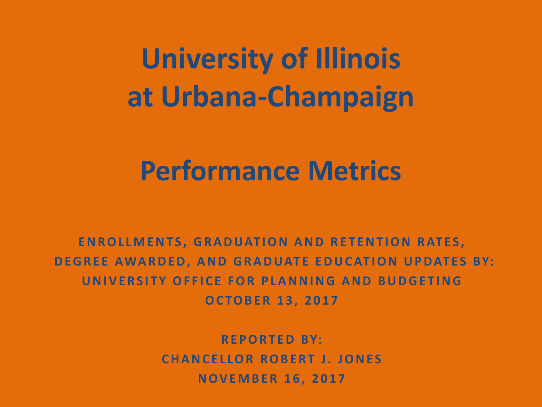**University of Illinois at Urbana-Champaign**

## **Performance Metrics**

**ENROLLMENTS, GRADUATION AND RETENTION RATES, DEGREE AWARDED, AND GRADUATE EDUCATION UPDATES BY: UNIVERSITY OFFICE FOR PLANNING AND BUDGETING**

**OCTOBER 13, 2017**

Reported to the Board of Trustees November 16, 2017

**REPORTED BY: CHANCELLOR ROBERT J. JONES NOVEMBER 16, 2017**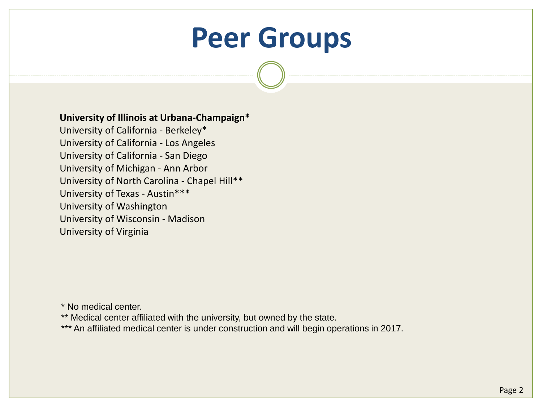# **Peer Groups**

#### **University of Illinois at Urbana-Champaign\***

University of California - Berkeley\* University of California - Los Angeles University of California - San Diego University of Michigan - Ann Arbor University of North Carolina - Chapel Hill\*\* University of Texas - Austin\*\*\* University of Washington University of Wisconsin - Madison University of Virginia

\* No medical center.

- \*\* Medical center affiliated with the university, but owned by the state.
- \*\*\* An affiliated medical center is under construction and will begin operations in 2017.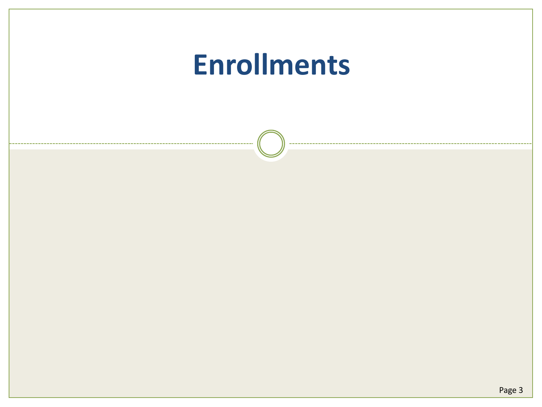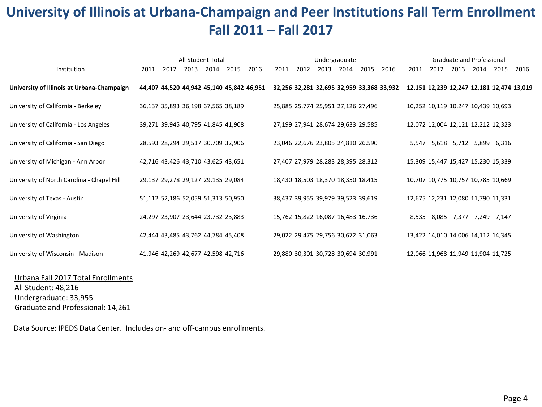## **University of Illinois at Urbana-Champaign and Peer Institutions Fall Term Enrollment Fall 2011 – Fall 2017**

|                                            | All Student Total |      |                                    |      | Undergraduate |                                           |      |      |      | Graduate and Professional |                                    |                                           |      |                                    |      |      |      |                                           |
|--------------------------------------------|-------------------|------|------------------------------------|------|---------------|-------------------------------------------|------|------|------|---------------------------|------------------------------------|-------------------------------------------|------|------------------------------------|------|------|------|-------------------------------------------|
| Institution                                | 2011              | 2012 | 2013                               | 2014 | 2015          | 2016                                      | 2011 | 2012 | 2013 | 2014                      | 2015                               | 2016                                      | 2011 | 2012                               | 2013 | 2014 | 2015 | 2016                                      |
| University of Illinois at Urbana-Champaign |                   |      |                                    |      |               | 44,407 44,520 44,942 45,140 45,842 46,951 |      |      |      |                           |                                    | 32,256 32,281 32,695 32,959 33,368 33,932 |      |                                    |      |      |      | 12,151 12,239 12,247 12,181 12,474 13,019 |
| University of California - Berkeley        |                   |      | 36,137 35,893 36,198 37,565 38,189 |      |               |                                           |      |      |      |                           | 25,885 25,774 25,951 27,126 27,496 |                                           |      | 10,252 10,119 10,247 10,439 10,693 |      |      |      |                                           |
| University of California - Los Angeles     |                   |      | 39,271 39,945 40,795 41,845 41,908 |      |               |                                           |      |      |      |                           | 27,199 27,941 28,674 29,633 29,585 |                                           |      | 12,072 12,004 12,121 12,212 12,323 |      |      |      |                                           |
| University of California - San Diego       |                   |      | 28,593 28,294 29,517 30,709 32,906 |      |               |                                           |      |      |      |                           | 23,046 22,676 23,805 24,810 26,590 |                                           |      | 5,547 5,618 5,712 5,899 6,316      |      |      |      |                                           |
| University of Michigan - Ann Arbor         |                   |      | 42,716 43,426 43,710 43,625 43,651 |      |               |                                           |      |      |      |                           | 27,407 27,979 28,283 28,395 28,312 |                                           |      | 15,309 15,447 15,427 15,230 15,339 |      |      |      |                                           |
| University of North Carolina - Chapel Hill |                   |      | 29,137 29,278 29,127 29,135 29,084 |      |               |                                           |      |      |      |                           | 18,430 18,503 18,370 18,350 18,415 |                                           |      | 10,707 10,775 10,757 10,785 10,669 |      |      |      |                                           |
| University of Texas - Austin               |                   |      | 51,112 52,186 52,059 51,313 50,950 |      |               |                                           |      |      |      |                           | 38,437 39,955 39,979 39,523 39,619 |                                           |      | 12,675 12,231 12,080 11,790 11,331 |      |      |      |                                           |
| University of Virginia                     |                   |      | 24,297 23,907 23,644 23,732 23,883 |      |               |                                           |      |      |      |                           | 15,762 15,822 16,087 16,483 16,736 |                                           |      | 8,535 8,085 7,377 7,249 7,147      |      |      |      |                                           |
| University of Washington                   |                   |      | 42,444 43,485 43,762 44,784 45,408 |      |               |                                           |      |      |      |                           | 29,022 29,475 29,756 30,672 31,063 |                                           |      | 13,422 14,010 14,006 14,112 14,345 |      |      |      |                                           |
| University of Wisconsin - Madison          |                   |      | 41,946 42,269 42,677 42,598 42,716 |      |               |                                           |      |      |      |                           | 29,880 30,301 30,728 30,694 30,991 |                                           |      | 12,066 11,968 11,949 11,904 11,725 |      |      |      |                                           |

#### Urbana Fall 2017 Total Enrollments

All Student: 48,216 Undergraduate: 33,955 Graduate and Professional: 14,261

Data Source: IPEDS Data Center. Includes on- and off-campus enrollments.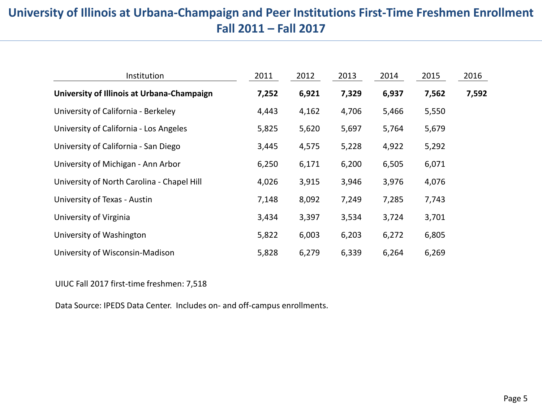#### **University of Illinois at Urbana-Champaign and Peer Institutions First-Time Freshmen Enrollment Fall 2011 – Fall 2017**

| Institution                                | 2011  | 2012  | 2013  | 2014  | 2015  | 2016  |
|--------------------------------------------|-------|-------|-------|-------|-------|-------|
| University of Illinois at Urbana-Champaign | 7,252 | 6,921 | 7,329 | 6,937 | 7,562 | 7,592 |
| University of California - Berkeley        | 4,443 | 4,162 | 4,706 | 5,466 | 5,550 |       |
| University of California - Los Angeles     | 5,825 | 5,620 | 5,697 | 5,764 | 5,679 |       |
| University of California - San Diego       | 3,445 | 4,575 | 5,228 | 4,922 | 5,292 |       |
| University of Michigan - Ann Arbor         | 6,250 | 6,171 | 6,200 | 6,505 | 6,071 |       |
| University of North Carolina - Chapel Hill | 4,026 | 3,915 | 3,946 | 3,976 | 4,076 |       |
| University of Texas - Austin               | 7,148 | 8,092 | 7,249 | 7,285 | 7,743 |       |
| University of Virginia                     | 3,434 | 3,397 | 3,534 | 3,724 | 3,701 |       |
| University of Washington                   | 5,822 | 6,003 | 6,203 | 6,272 | 6,805 |       |
| University of Wisconsin-Madison            | 5,828 | 6,279 | 6,339 | 6,264 | 6,269 |       |

UIUC Fall 2017 first-time freshmen: 7,518

Data Source: IPEDS Data Center. Includes on- and off-campus enrollments.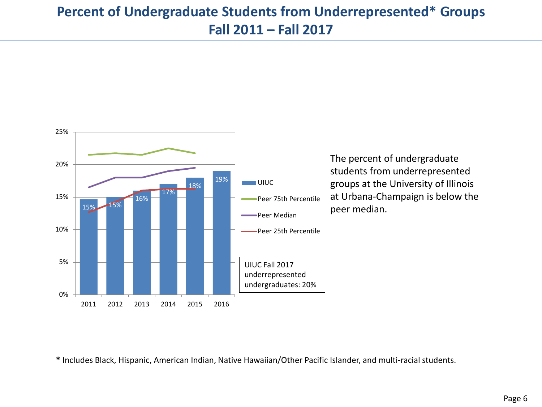#### **Percent of Undergraduate Students from Underrepresented\* Groups Fall 2011 – Fall 2017**



The percent of undergraduate students from underrepresented groups at the University of Illinois at Urbana-Champaign is below the peer median.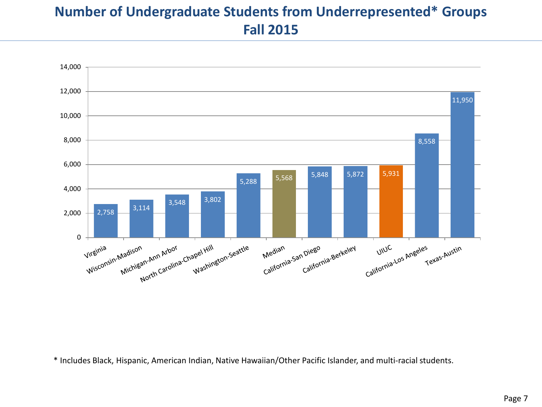### **Number of Undergraduate Students from Underrepresented\* Groups Fall 2015**

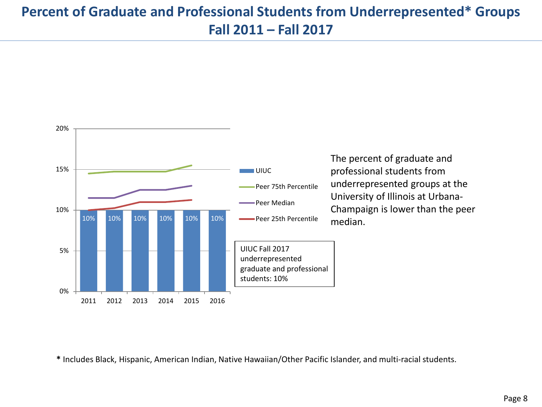### **Percent of Graduate and Professional Students from Underrepresented\* Groups Fall 2011 – Fall 2017**



The percent of graduate and professional students from underrepresented groups at the University of Illinois at Urbana-Champaign is lower than the peer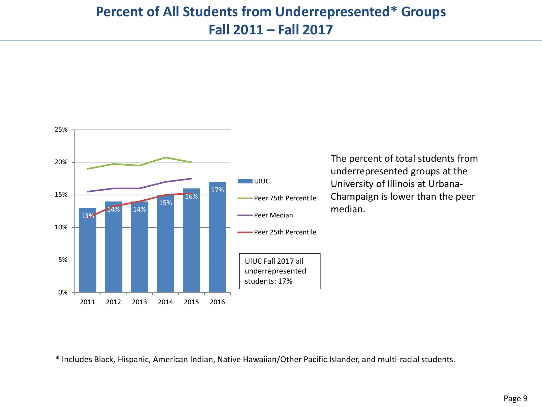#### **Percent of All Students from Underrepresented\* Groups Fall 2011 – Fall 2017**



The percent of total students from underrepresented groups at the University of Illinois at Urbana-Champaign is lower than the peer median.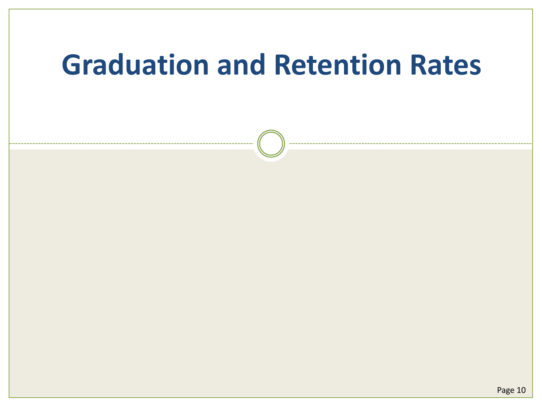# **Graduation and Retention Rates**

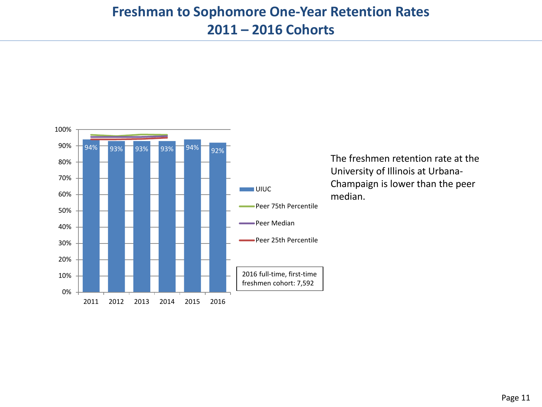

The freshmen retention rate at the University of Illinois at Urbana-Champaign is lower than the peer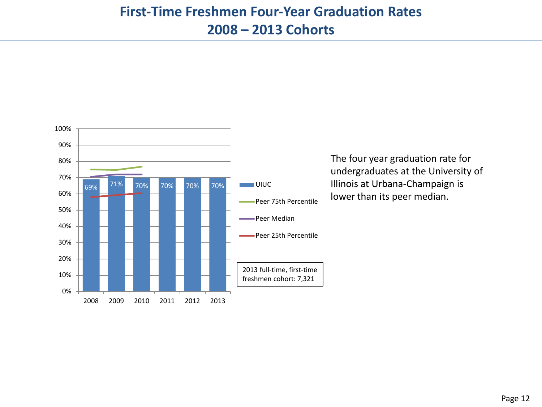

The four year graduation rate for undergraduates at the University of Illinois at Urbana-Champaign is lower than its peer median.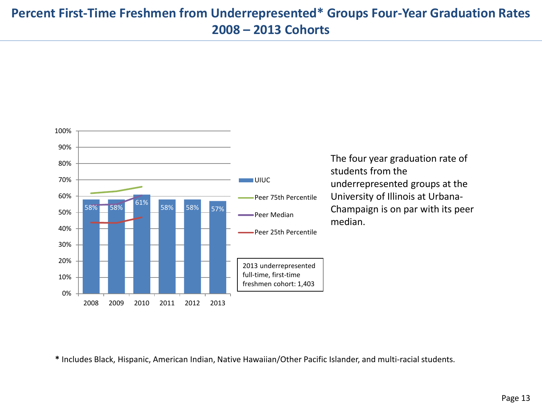#### **Percent First-Time Freshmen from Underrepresented\* Groups Four-Year Graduation Rates 2008 – 2013 Cohorts**



The four year graduation rate of students from the underrepresented groups at the University of Illinois at Urbana-Champaign is on par with its peer median.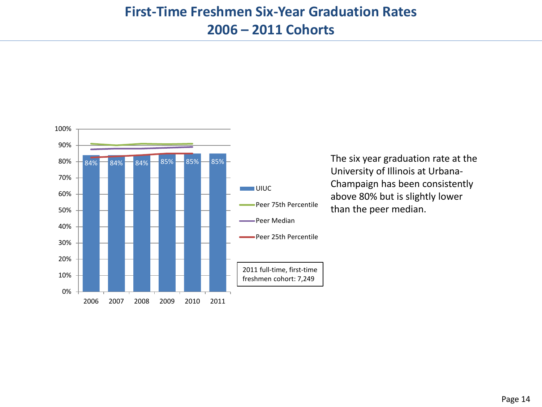

The six year graduation rate at the University of Illinois at Urbana-Champaign has been consistently above 80% but is slightly lower than the peer median.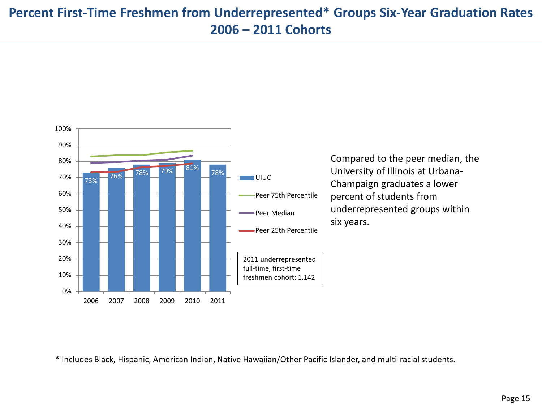#### **Percent First-Time Freshmen from Underrepresented\* Groups Six-Year Graduation Rates 2006 – 2011 Cohorts**



Compared to the peer median, the University of Illinois at Urbana-Champaign graduates a lower percent of students from underrepresented groups within six years.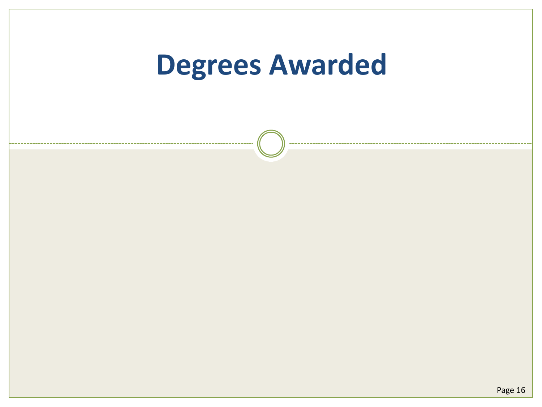# **Degrees Awarded**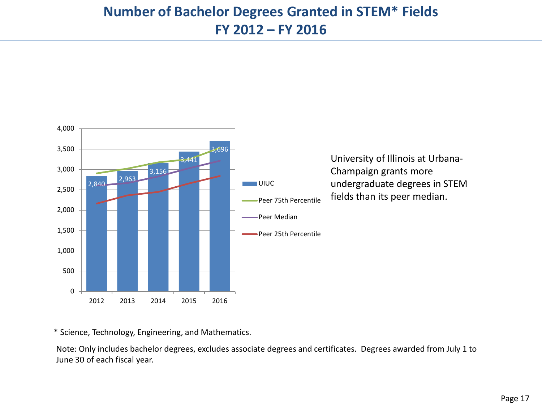#### **Number of Bachelor Degrees Granted in STEM\* Fields FY 2012 – FY 2016**



\* Science, Technology, Engineering, and Mathematics.

Note: Only includes bachelor degrees, excludes associate degrees and certificates. Degrees awarded from July 1 to June 30 of each fiscal year.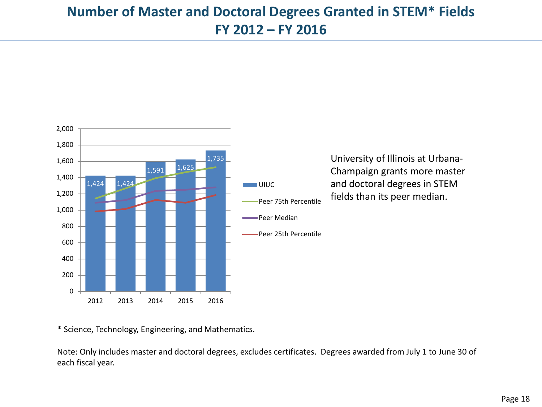#### **Number of Master and Doctoral Degrees Granted in STEM\* Fields FY 2012 – FY 2016**



\* Science, Technology, Engineering, and Mathematics.

Note: Only includes master and doctoral degrees, excludes certificates. Degrees awarded from July 1 to June 30 of each fiscal year.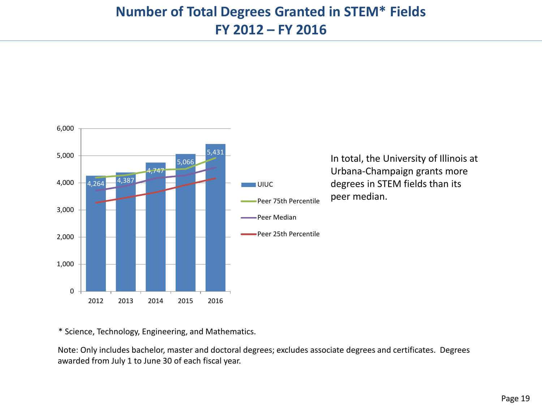

\* Science, Technology, Engineering, and Mathematics.

Note: Only includes bachelor, master and doctoral degrees; excludes associate degrees and certificates. Degrees awarded from July 1 to June 30 of each fiscal year.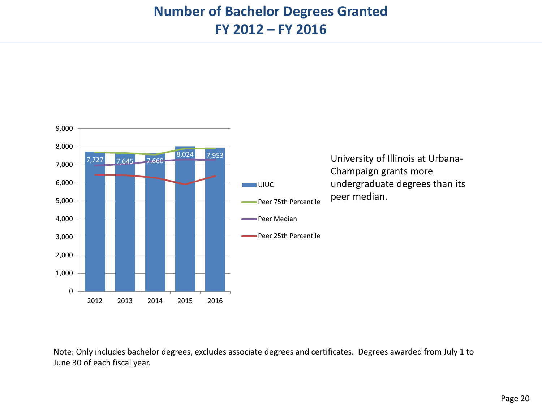#### **Number of Bachelor Degrees Granted FY 2012 – FY 2016**



Note: Only includes bachelor degrees, excludes associate degrees and certificates. Degrees awarded from July 1 to June 30 of each fiscal year.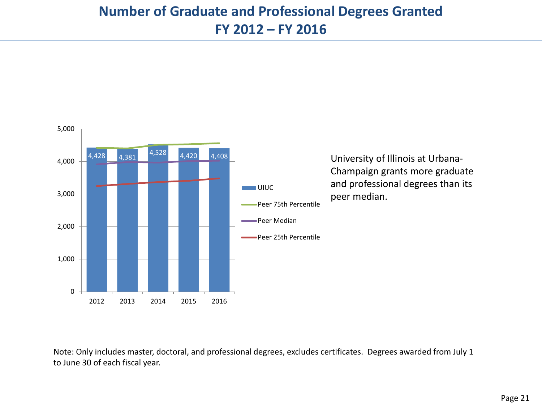#### **Number of Graduate and Professional Degrees Granted FY 2012 – FY 2016**



Note: Only includes master, doctoral, and professional degrees, excludes certificates. Degrees awarded from July 1 to June 30 of each fiscal year.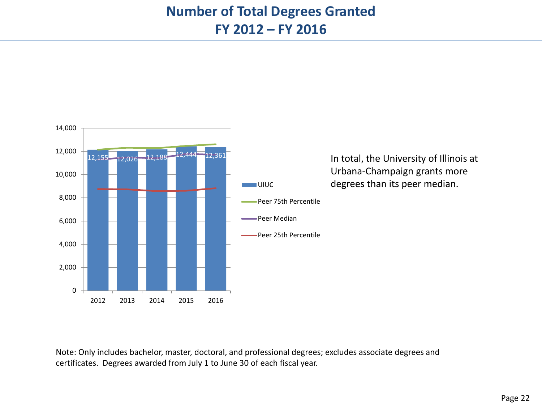#### **Number of Total Degrees Granted FY 2012 – FY 2016**



Note: Only includes bachelor, master, doctoral, and professional degrees; excludes associate degrees and certificates. Degrees awarded from July 1 to June 30 of each fiscal year.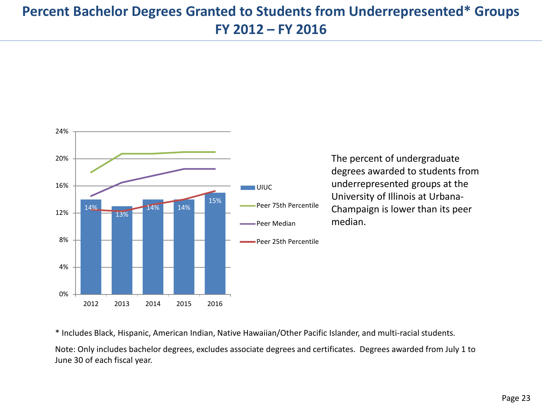### **Percent Bachelor Degrees Granted to Students from Underrepresented\* Groups FY 2012 – FY 2016**



The percent of undergraduate degrees awarded to students from underrepresented groups at the University of Illinois at Urbana-Champaign is lower than its peer

\* Includes Black, Hispanic, American Indian, Native Hawaiian/Other Pacific Islander, and multi-racial students.

Note: Only includes bachelor degrees, excludes associate degrees and certificates. Degrees awarded from July 1 to June 30 of each fiscal year.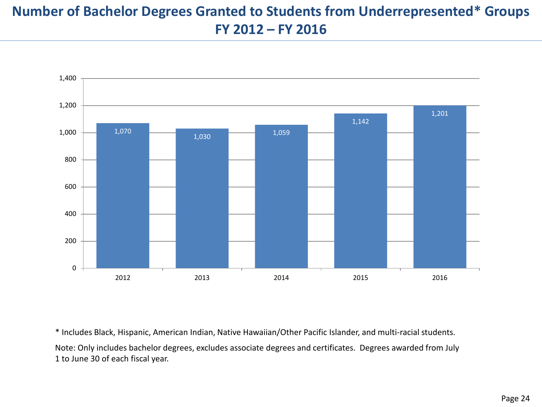## **Number of Bachelor Degrees Granted to Students from Underrepresented\* Groups FY 2012 – FY 2016**



\* Includes Black, Hispanic, American Indian, Native Hawaiian/Other Pacific Islander, and multi-racial students. Note: Only includes bachelor degrees, excludes associate degrees and certificates. Degrees awarded from July 1 to June 30 of each fiscal year.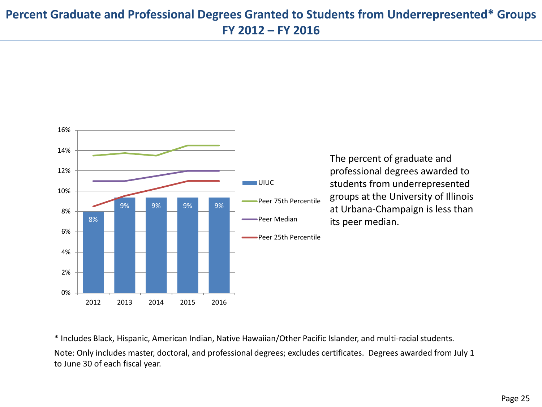#### **Percent Graduate and Professional Degrees Granted to Students from Underrepresented\* Groups FY 2012 – FY 2016**



The percent of graduate and professional degrees awarded to students from underrepresented groups at the University of Illinois at Urbana-Champaign is less than its peer median.

\* Includes Black, Hispanic, American Indian, Native Hawaiian/Other Pacific Islander, and multi-racial students.

Note: Only includes master, doctoral, and professional degrees; excludes certificates. Degrees awarded from July 1 to June 30 of each fiscal year.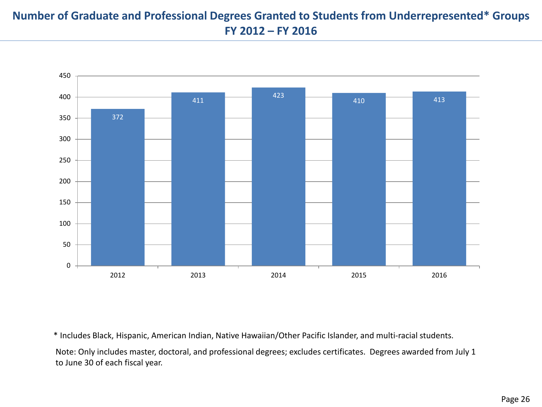#### **Number of Graduate and Professional Degrees Granted to Students from Underrepresented\* Groups FY 2012 – FY 2016**



\* Includes Black, Hispanic, American Indian, Native Hawaiian/Other Pacific Islander, and multi-racial students.

Note: Only includes master, doctoral, and professional degrees; excludes certificates. Degrees awarded from July 1 to June 30 of each fiscal year.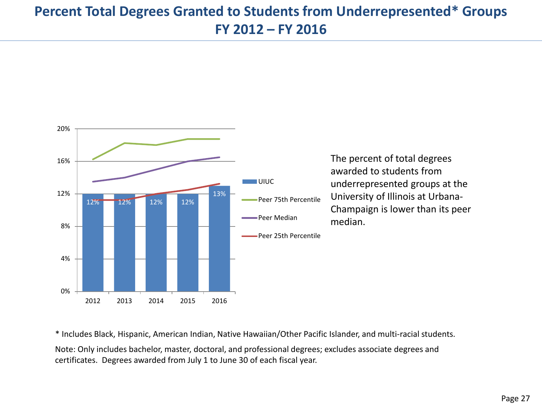### **Percent Total Degrees Granted to Students from Underrepresented\* Groups FY 2012 – FY 2016**



The percent of total degrees awarded to students from underrepresented groups at the University of Illinois at Urbana-Champaign is lower than its peer

\* Includes Black, Hispanic, American Indian, Native Hawaiian/Other Pacific Islander, and multi-racial students.

Note: Only includes bachelor, master, doctoral, and professional degrees; excludes associate degrees and certificates. Degrees awarded from July 1 to June 30 of each fiscal year.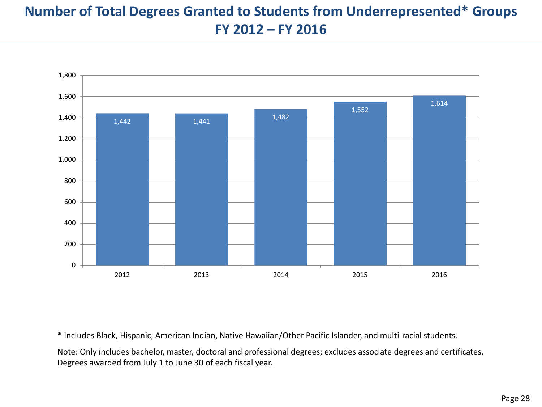## **Number of Total Degrees Granted to Students from Underrepresented\* Groups FY 2012 – FY 2016**



\* Includes Black, Hispanic, American Indian, Native Hawaiian/Other Pacific Islander, and multi-racial students.

Note: Only includes bachelor, master, doctoral and professional degrees; excludes associate degrees and certificates. Degrees awarded from July 1 to June 30 of each fiscal year.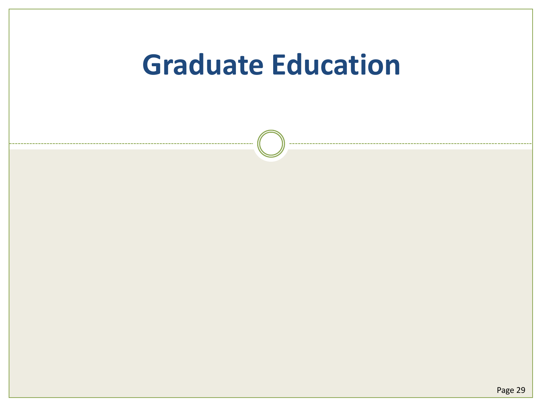# **Graduate Education**

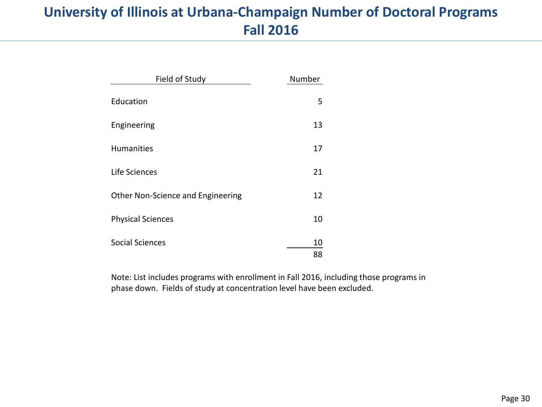### **University of Illinois at Urbana-Champaign Number of Doctoral Programs Fall 2016**

| Field of Study                    | Number |
|-----------------------------------|--------|
| Education                         | 5      |
| Engineering                       | 13     |
| <b>Humanities</b>                 | 17     |
| Life Sciences                     | 21     |
| Other Non-Science and Engineering | 12     |
| <b>Physical Sciences</b>          | 10     |
| <b>Social Sciences</b>            | 10     |
|                                   | 88     |

Note: List includes programs with enrollment in Fall 2016, including those programs in phase down. Fields of study at concentration level have been excluded.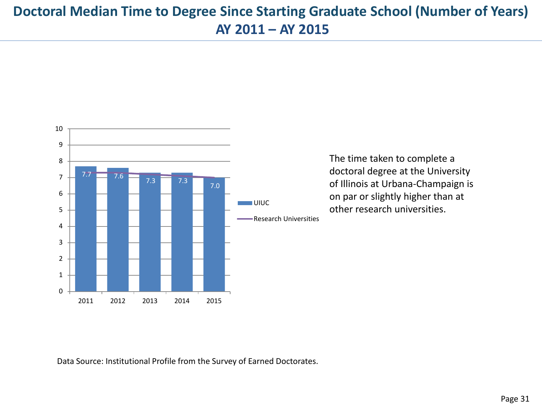### **Doctoral Median Time to Degree Since Starting Graduate School (Number of Years) AY 2011 – AY 2015**



The time taken to complete a doctoral degree at the University of Illinois at Urbana-Champaign is on par or slightly higher than at other research universities.

Data Source: Institutional Profile from the Survey of Earned Doctorates.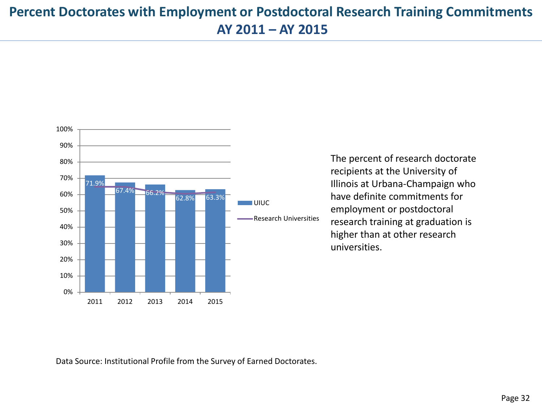#### **Percent Doctorates with Employment or Postdoctoral Research Training Commitments AY 2011 – AY 2015**



The percent of research doctorate recipients at the University of Illinois at Urbana-Champaign who have definite commitments for employment or postdoctoral research training at graduation is higher than at other research universities.

Data Source: Institutional Profile from the Survey of Earned Doctorates.